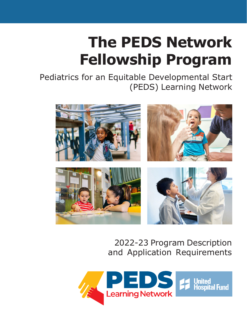# **The PEDS Network Fellowship Program**

Pediatrics for an Equitable Developmental Start (PEDS) Learning Network



### 2022-23 Program Description and Application Requirements

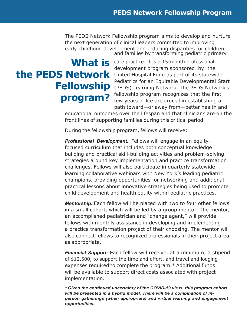The PEDS Network Fellowship program aims to develop and nurture the next generation of clinical leaders committed to improving early childhood development and reducing disparities for children and families by transforming pediatric primary

# **program?**

**What is** care practice. It is a 15-month professional<br>development program sponsored, by the **the PEDS Network** United Hospital Fund as part of its statewide **Fellowship** (PEDS) Learning Network. The PEDS Network's development program sponsored by the Pediatrics for an Equitable Developmental Start fellowship program recognizes that the first few years of life are crucial in establishing a path toward—or away from—better health and

> educational outcomes over the lifespan and that clinicians are on the front lines of supporting families during this critical period.

During the fellowship program, fellows will receive:

*Professional Development:* Fellows will engage in an equityfocused curriculum that includes both conceptual knowledge building and practical skill-building activities and problem-solving strategies around key implementation and practice transformation challenges. Fellows will also participate in quarterly statewide learning collaborative webinars with New York's leading pediatric champions, providing opportunities for networking and additional practical lessons about innovative strategies being used to promote child development and health equity within pediatric practices.

*Mentorship:* Each fellow will be placed with two to four other fellows in a small cohort, which will be led by a group mentor. The mentor, an accomplished pediatrician and "change agent," will provide fellows with monthly assistance in developing and implementing a practice transformation project of their choosing. The mentor will also connect fellows to recognized professionals in their project area as appropriate.

*Financial Support:* Each fellow will receive, at a minimum, a stipend of \$12,500, to support the time and effort, and travel and lodging expenses required to complete the program.\* Additional funds will be available to support direct costs associated with project implementation.

*\* Given the continued uncertainty of the COVID-19 virus, this program cohort will be presented in a hybrid model. There will be a combination of inperson gatherings (when appropriate) and virtual learning and engagement opportunities.*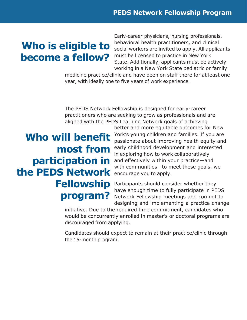# **Who is eligible to become a fellow?**

Early-career physicians, nursing professionals, behavioral health practitioners, and clinical social workers are invited to apply. All applicants must be licensed to practice in New York State. Additionally, applicants must be actively working in a New York State pediatric or family

medicine practice/clinic and have been on staff there for at least one year, with ideally one to five years of work experience.

The PEDS Network Fellowship is designed for early-career practitioners who are seeking to grow as professionals and are aligned with the PEDS Learning Network goals of achieving

# **Who will benefit most from participation in the PEDS Network Fellowship program?**

better and more equitable outcomes for New York's young children and families. If you are passionate about improving health equity and early childhood development and interested in exploring how to work collaboratively and effectively within your practice—and with communities—to meet these goals, we encourage you to apply.

Participants should consider whether they have enough time to fully participate in PEDS Network Fellowship meetings and commit to designing and implementing a practice change

initiative. Due to the required time commitment, candidates who would be concurrently enrolled in master's or doctoral programs are discouraged from applying.

Candidates should expect to remain at their practice/clinic through the 15-month program.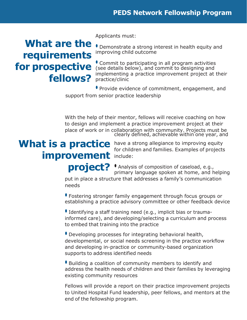## **What are the requirements for prospective fellows?**

Applicants must:

• Demonstrate a strong interest in health equity and improving child outcome

• Commit to participating in all program activities (see details below), and commit to designing and implementing a practice improvement project at their practice/clinic

• Provide evidence of commitment, engagement, and support from senior practice leadership

With the help of their mentor, fellows will receive coaching on how to design and implement a practice improvement project at their place of work or in collaboration with community. Projects must be clearly defined, achievable within one year, and

# **improvement** include:

**What is a practice** have a strong allegiance to improving equity for children and families. Examples of projects

> **project?** • Analysis of composition of caseload, e.g., primary language spoken at home, and helping

put in place a structure that addresses a family's communication needs

• Fostering stronger family engagement through focus groups or establishing a practice advisory committee or other feedback device

• Identifying a staff training need (e.g., implicit bias or traumainformed care), and developing/selecting a curriculum and process to embed that training into the practice

• Developing processes for integrating behavioral health, developmental, or social needs screening in the practice workflow and developing in-practice or community-based organization supports to address identified needs

• Building a coalition of community members to identify and address the health needs of children and their families by leveraging existing community resources

Fellows will provide a report on their practice improvement projects to United Hospital Fund leadership, peer fellows, and mentors at the end of the fellowship program.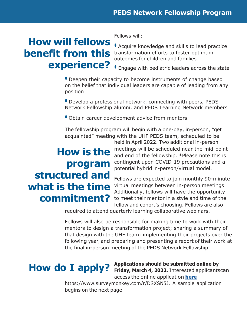# **How will fellows benefit from this experience?**

Fellows will:

• Acquire knowledge and skills to lead practice transformation efforts to foster optimum outcomes for children and families

• Engage with pediatric leaders across the state

• Deepen their capacity to become instruments of change based on the belief that individual leaders are capable of leading from any position

• Develop a professional network, connecting with peers, PEDS Network Fellowship alumni, and PEDS Learning Network members

• Obtain career development advice from mentors

The fellowship program will begin with a one-day, in-person, "get acquainted" meeting with the UHF PEDS team, scheduled to be

# **How is the program structured and what is the time commitment?**

held in April 2022. Two additional in-person meetings will be scheduled near the mid-point and end of the fellowship. \*Please note this is contingent upon COVID-19 precautions and a potential hybrid in-person/virtual model.

Fellows are expected to join monthly 90-minute virtual meetings between in-person meetings. Additionally, fellows will have the opportunity to meet their mentor in a style and time of the fellow and cohort's choosing. Fellows are also

required to attend quarterly learning collaborative webinars.

Fellows will also be responsible for making time to work with their mentors to design a transformation project; sharing a summary of that design with the UHF team; implementing their projects over the following year; and preparing and presenting a report of their work at the final in-person meeting of the PEDS Network Fellowship.

**How do I apply? Applications should be submitted online by Friday, March 4, 2022.** Interested applicantscan access the online application **[here](https://www.surveymonkey.com/r/DSXSN5J)**:

> https:/[/www.surveymonkey.com/r/DSXSN5J.](http://www.surveymonkey.com/r/DSXSN5J) A sample application begins on the next page.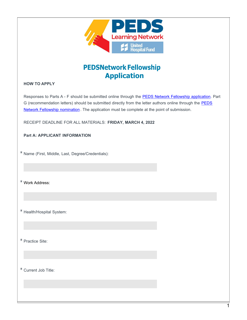

#### **PEDSNetwork Fellowship Application**

#### **HOW TO APPLY**

Responses to Parts A - F should be submitted online through the PEDS Network Fellowship [application.](https://www.surveymonkey.com/r/DSXSN5J) Part G [\(recommendation](https://www.surveymonkey.com/r/QXL8MGD) letters) should be submitted directly from the letter authors online through the **PEDS** Network Fellowship nomination. The application must be complete at the point of [submission.](https://www.surveymonkey.com/r/QXL8MGD)

RECEIPT DEADLINE FOR ALL MATERIALS: **FRIDAY, MARCH 4, 2022**

#### **Part A: APPLICANT INFORMATION**

\* Name (First, Middle, Last, Degree/Credentials):

\* Work Address:

\* Health/Hospital System:

\* Practice Site:

\* Current Job Title: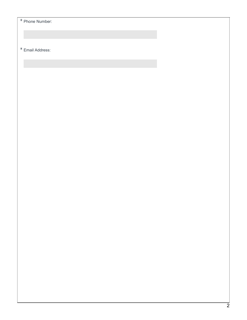$\overline{\ast}$  Phone Number:

\* Email Address: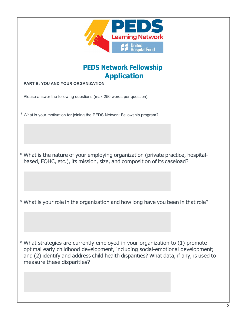| PED<br><b>Learning Network</b><br>mted<br><b>Hospital Fund</b>                                                                                                                                                                                                                     |
|------------------------------------------------------------------------------------------------------------------------------------------------------------------------------------------------------------------------------------------------------------------------------------|
| <b>PEDS Network Fellowship</b><br><b>Application</b>                                                                                                                                                                                                                               |
| <b>PART B: YOU AND YOUR ORGANIZATION</b>                                                                                                                                                                                                                                           |
| Please answer the following questions (max 250 words per question):                                                                                                                                                                                                                |
| * What is your motivation for joining the PEDS Network Fellowship program?                                                                                                                                                                                                         |
| * What is the nature of your employing organization (private practice, hospital-<br>based, FQHC, etc.), its mission, size, and composition of its caseload?                                                                                                                        |
| * What is your role in the organization and how long have you been in that role?                                                                                                                                                                                                   |
| * What strategies are currently employed in your organization to (1) promote<br>optimal early childhood development, including social-emotional development;<br>and (2) identify and address child health disparities? What data, if any, is used to<br>measure these disparities? |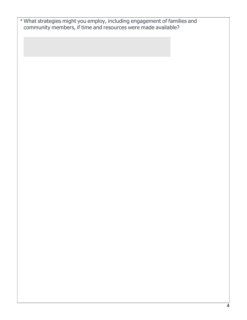| * What strategies might you employ, including engagement of families and |
|--------------------------------------------------------------------------|
| community members, if time and resources were made available?            |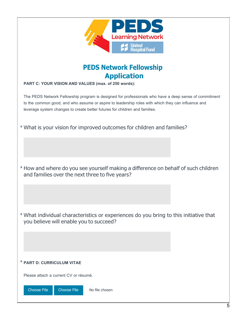| ED<br><b>Learning Network</b><br>pital Fund                                                                                                                                                                                                                                                |
|--------------------------------------------------------------------------------------------------------------------------------------------------------------------------------------------------------------------------------------------------------------------------------------------|
| <b>PEDS Network Fellowship</b><br><b>Application</b><br>PART C: YOUR VISION AND VALUES (max. of 250 words):                                                                                                                                                                                |
| The PEDS Network Fellowship program is designed for professionals who have a deep sense of commitment<br>to the common good, and who assume or aspire to leadership roles with which they can influence and<br>leverage system changes to create better futures for children and families. |
| * What is your vision for improved outcomes for children and families?                                                                                                                                                                                                                     |
| * How and where do you see yourself making a difference on behalf of such children<br>and families over the next three to five years?                                                                                                                                                      |
| * What individual characteristics or experiences do you bring to this initiative that<br>you believe will enable you to succeed?                                                                                                                                                           |
|                                                                                                                                                                                                                                                                                            |
| <b>* PART D: CURRICULUM VITAE</b>                                                                                                                                                                                                                                                          |
| Please attach a current CV or résumé.                                                                                                                                                                                                                                                      |
| <b>Choose File</b><br><b>Choose File</b><br>No file chosen                                                                                                                                                                                                                                 |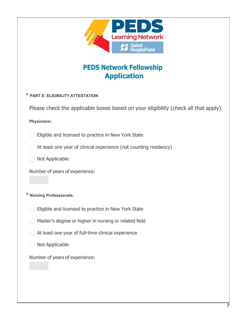| <b>Learning Network</b><br><b>United</b><br><b>Hospital Fund</b><br><b>PEDS Network Fellowship</b><br><b>Application</b> |
|--------------------------------------------------------------------------------------------------------------------------|
| * PART E: ELIGIBILITY ATTESTATION                                                                                        |
| Please check the applicable boxes based on your eligibility (check all that apply).                                      |
| <b>Physicians:</b>                                                                                                       |
| Eligible and licensed to practice in New York State                                                                      |
| At least one year of clinical experience (not counting residency)                                                        |
| <b>Not Applicable</b>                                                                                                    |
| Number of years of experience:                                                                                           |
| * Nursing Professionals:                                                                                                 |
| Eligible and licensed to practice in New York State                                                                      |
| Master's degree or higher in nursing or related field                                                                    |
| At least one year of full-time clinical experience                                                                       |
| Not Applicable                                                                                                           |
| Number of years of experience:                                                                                           |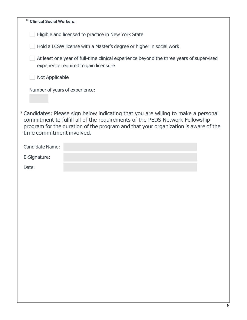| * Clinical Social Workers:                                                                                                                                                                                                                                                            |
|---------------------------------------------------------------------------------------------------------------------------------------------------------------------------------------------------------------------------------------------------------------------------------------|
| Eligible and licensed to practice in New York State                                                                                                                                                                                                                                   |
| Hold a LCSW license with a Master's degree or higher in social work                                                                                                                                                                                                                   |
| At least one year of full-time clinical experience beyond the three years of supervised<br>experience required to gain licensure                                                                                                                                                      |
| Not Applicable                                                                                                                                                                                                                                                                        |
| Number of years of experience:                                                                                                                                                                                                                                                        |
| * Candidates: Please sign below indicating that you are willing to make a personal<br>commitment to fulfill all of the requirements of the PEDS Network Fellowship<br>program for the duration of the program and that your organization is aware of the<br>time commitment involved. |
| <b>Candidate Name:</b>                                                                                                                                                                                                                                                                |
| E-Signature:                                                                                                                                                                                                                                                                          |
| Date:                                                                                                                                                                                                                                                                                 |
|                                                                                                                                                                                                                                                                                       |
|                                                                                                                                                                                                                                                                                       |
|                                                                                                                                                                                                                                                                                       |
|                                                                                                                                                                                                                                                                                       |
|                                                                                                                                                                                                                                                                                       |
|                                                                                                                                                                                                                                                                                       |
|                                                                                                                                                                                                                                                                                       |
|                                                                                                                                                                                                                                                                                       |
|                                                                                                                                                                                                                                                                                       |
|                                                                                                                                                                                                                                                                                       |
|                                                                                                                                                                                                                                                                                       |
|                                                                                                                                                                                                                                                                                       |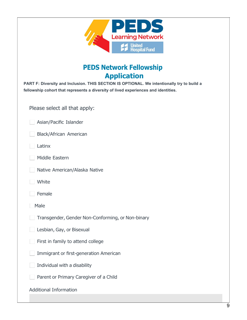| E<br><b>Learning Network</b><br>United<br>Hospital Fund                                                                                                                                                                                  |
|------------------------------------------------------------------------------------------------------------------------------------------------------------------------------------------------------------------------------------------|
| <b>PEDS Network Fellowship</b><br><b>Application</b><br>PART F: Diversity and Inclusion. THIS SECTION IS OPTIONAL. We intentionally try to build a<br>fellowship cohort that represents a diversity of lived experiences and identities. |
| Please select all that apply:                                                                                                                                                                                                            |
| Asian/Pacific Islander                                                                                                                                                                                                                   |
| Black/African American                                                                                                                                                                                                                   |
| Latinx                                                                                                                                                                                                                                   |
| Middle Eastern                                                                                                                                                                                                                           |
| Native American/Alaska Native                                                                                                                                                                                                            |
| White                                                                                                                                                                                                                                    |
| Female                                                                                                                                                                                                                                   |
| Male                                                                                                                                                                                                                                     |
| Transgender, Gender Non-Conforming, or Non-binary                                                                                                                                                                                        |
| Lesbian, Gay, or Bisexual                                                                                                                                                                                                                |
| First in family to attend college                                                                                                                                                                                                        |
| Immigrant or first-generation American                                                                                                                                                                                                   |
| Individual with a disability                                                                                                                                                                                                             |
| Parent or Primary Caregiver of a Child                                                                                                                                                                                                   |
| <b>Additional Information</b>                                                                                                                                                                                                            |